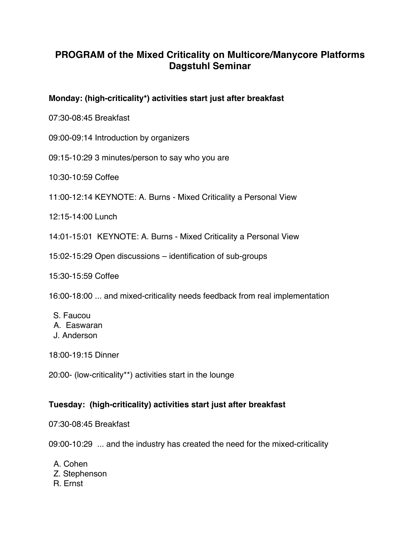# **PROGRAM of the Mixed Criticality on Multicore/Manycore Platforms Dagstuhl Seminar**

# **Monday: (high-criticality\*) activities start just after breakfast**

07:30-08:45 Breakfast

- 09:00-09:14 Introduction by organizers
- 09:15-10:29 3 minutes/person to say who you are
- 10:30-10:59 Coffee
- 11:00-12:14 KEYNOTE: A. Burns Mixed Criticality a Personal View

12:15-14:00 Lunch

14:01-15:01 KEYNOTE: A. Burns - Mixed Criticality a Personal View

15:02-15:29 Open discussions – identification of sub-groups

15:30-15:59 Coffee

16:00-18:00 ... and mixed-criticality needs feedback from real implementation

- S. Faucou A. Easwaran J. Anderson
- 18:00-19:15 Dinner
- 20:00- (low-criticality\*\*) activities start in the lounge

### **Tuesday: (high-criticality) activities start just after breakfast**

07:30-08:45 Breakfast

09:00-10:29 ... and the industry has created the need for the mixed-criticality

A. Cohen Z. Stephenson R. Ernst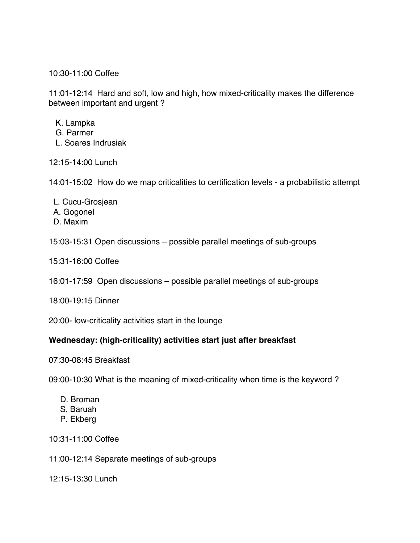10:30-11:00 Coffee

11:01-12:14 Hard and soft, low and high, how mixed-criticality makes the difference between important and urgent ?

- K. Lampka
- G. Parmer
- L. Soares Indrusiak

12:15-14:00 Lunch

14:01-15:02 How do we map criticalities to certification levels - a probabilistic attempt

- L. Cucu-Grosjean A. Gogonel
- D. Maxim

15:03-15:31 Open discussions – possible parallel meetings of sub-groups

15:31-16:00 Coffee

16:01-17:59 Open discussions – possible parallel meetings of sub-groups

18:00-19:15 Dinner

20:00- low-criticality activities start in the lounge

### **Wednesday: (high-criticality) activities start just after breakfast**

07:30-08:45 Breakfast

09:00-10:30 What is the meaning of mixed-criticality when time is the keyword ?

- D. Broman
- S. Baruah
- P. Ekberg

10:31-11:00 Coffee

11:00-12:14 Separate meetings of sub-groups

12:15-13:30 Lunch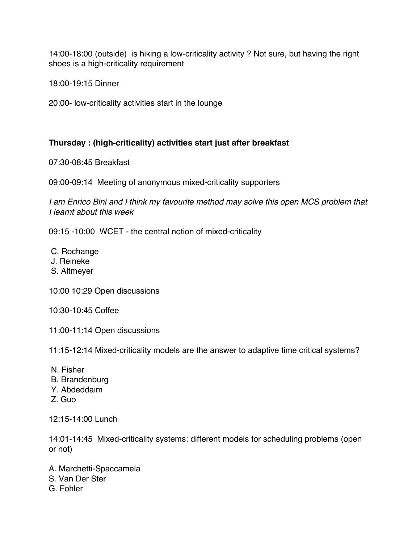14:00-18:00 (outside) is hiking a low-criticality activity ? Not sure, but having the right shoes is a high-criticality requirement

18:00-19:15 Dinner

20:00- low-criticality activities start in the lounge

# **Thursday : (high-criticality) activities start just after breakfast**

07:30-08:45 Breakfast

09:00-09:14 Meeting of anonymous mixed-criticality supporters

*I am Enrico Bini and I think my favourite method may solve this open MCS problem that I learnt about this week*

09:15 -10:00 WCET - the central notion of mixed-criticality

C. Rochange

J. Reineke

S. Altmeyer

10:00 10:29 Open discussions

10:30-10:45 Coffee

11:00-11:14 Open discussions

11:15-12:14 Mixed-criticality models are the answer to adaptive time critical systems?

- N. Fisher
- B. Brandenburg
- Y. Abdeddaim
- Z. Guo

12:15-14:00 Lunch

14:01-14:45 Mixed-criticality systems: different models for scheduling problems (open or not)

A. Marchetti-Spaccamela S. Van Der Ster

G. Fohler